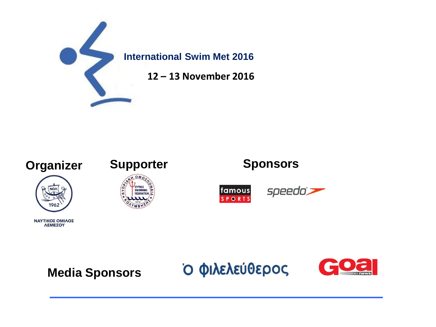





ΝΑΥΤΙΚΟΣ ΟΜΙΛΟΣ ΛΕΜΕΣΟΥ

Ο ΦΙλελεύθερος

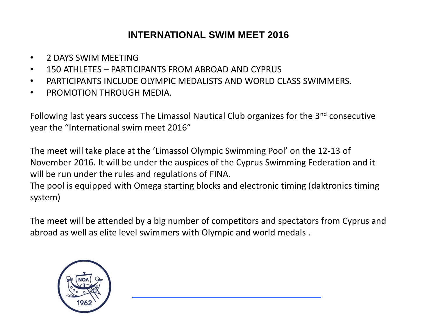# **INTERNATIONAL SWIM MEET 2016**

- 2 DAYS SWIM MEETING
- 150 ATHLETES PARTICIPANTS FROM ABROAD AND CYPRUS
- PARTICIPANTS INCLUDE OLYMPIC MEDALISTS AND WORLD CLASS SWIMMERS.
- PROMOTION THROUGH MEDIA.

Following last years success The Limassol Nautical Club organizes for the 3<sup>nd</sup> consecutive year the "International swim meet 2016"

The meet will take place at the 'Limassol Olympic Swimming Pool' on the 12-13 of November 2016. It will be under the auspices of the Cyprus Swimming Federation and it will be run under the rules and regulations of FINA.

The pool is equipped with Omega starting blocks and electronic timing (daktronics timing system)

The meet will be attended by a big number of competitors and spectators from Cyprus and abroad as well as elite level swimmers with Olympic and world medals .

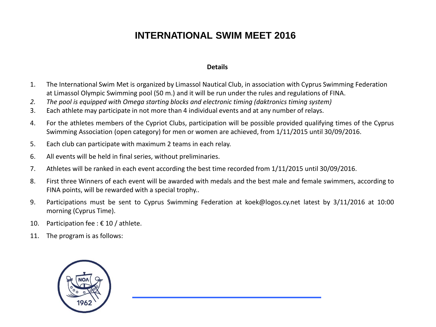# **INTERNATIONAL SWIM MEET 2016**

#### **Details**

- 1. The International Swim Met is organized by Limassol Nautical Club, in association with Cyprus Swimming Federation at Limassol Olympic Swimming pool (50 m.) and it will be run under the rules and regulations of FINA.
- *2. The pool is equipped with Omega starting blocks and electronic timing (daktronics timing system)*
- 3. Each athlete may participate in not more than 4 individual events and at any number of relays.
- 4. For the athletes members of the Cypriot Clubs, participation will be possible provided qualifying times of the Cyprus Swimming Association (open category) for men or women are achieved, from 1/11/2015 until 30/09/2016.
- 5. Each club can participate with maximum 2 teams in each relay.
- 6. All events will be held in final series, without preliminaries.
- 7. Athletes will be ranked in each event according the best time recorded from 1/11/2015 until 30/09/2016.
- 8. First three Winners of each event will be awarded with medals and the best male and female swimmers, according to FINA points, will be rewarded with a special trophy..
- 9. Participations must be sent to Cyprus Swimming Federation at koek@logos.cy.net latest by 3/11/2016 at 10:00 morning (Cyprus Time).
- 10. Participation fee :  $\epsilon$  10 / athlete.
- 11. The program is as follows:

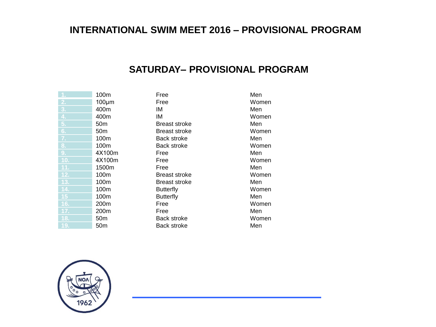### **INTERNATIONAL SWIM MEET 2016 – PROVISIONAL PROGRAM**

#### **SATURDAY– PROVISIONAL PROGRAM**

|                  | 100m            | Free                 | Men   |
|------------------|-----------------|----------------------|-------|
| 2.               | $100 \mu m$     | Free                 | Women |
| 3.               | 400m            | ΙM                   | Men   |
| $\overline{4}$ . | 400m            | ΙM                   | Women |
| 5 <sub>1</sub>   | 50m             | <b>Breast stroke</b> | Men   |
| 6.               | 50m             | <b>Breast stroke</b> | Women |
| 7.               | 100m            | Back stroke          | Men   |
| 8.               | 100m            | Back stroke          | Women |
| 9.               | 4X100m          | Free                 | Men   |
| 10.              | 4X100m          | Free                 | Women |
| 11.              | 1500m           | Free                 | Men   |
| 12.              | 100m            | <b>Breast stroke</b> | Women |
| 13.              | 100m            | <b>Breast stroke</b> | Men   |
| 14.              | 100m            | <b>Butterfly</b>     | Women |
| 15               | 100m            | <b>Butterfly</b>     | Men   |
| 16.              | 200m            | Free                 | Women |
| 17.              | 200m            | Free                 | Men   |
| 18.              | 50m             | Back stroke          | Women |
| 19.              | 50 <sub>m</sub> | Back stroke          | Men   |

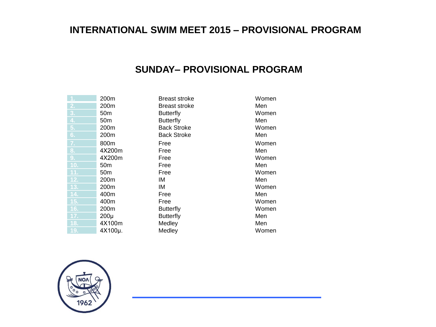# **INTERNATIONAL SWIM MEET 2015 – PROVISIONAL PROGRAM**

### **SUNDAY– PROVISIONAL PROGRAM**

|                  | 200m             | <b>Breast stroke</b> | Women |
|------------------|------------------|----------------------|-------|
| 2.               | 200m             | Breast stroke        | Men   |
| 3.               | 50 <sub>m</sub>  | <b>Butterfly</b>     | Women |
| $\overline{4}$ . | 50 <sub>m</sub>  | <b>Butterfly</b>     | Men   |
| 5.               | 200 <sub>m</sub> | <b>Back Stroke</b>   | Women |
| 6.               | 200m             | <b>Back Stroke</b>   | Men   |
| 7.               | 800m             | Free                 | Women |
| 8.               | 4X200m           | Free                 | Men   |
| 9.               | 4X200m           | Free                 | Women |
| 10.              | 50 <sub>m</sub>  | Free                 | Men   |
| 11.              | 50 <sub>m</sub>  | Free                 | Women |
| 12.              | 200 <sub>m</sub> | ΙM                   | Men   |
| 13.              | 200m             | ΙM                   | Women |
| 14.              | 400m             | Free                 | Men   |
| 15.              | 400m             | Free                 | Women |
| 16.              | 200m             | <b>Butterfly</b>     | Women |
| 17.              | $200\mu$         | <b>Butterfly</b>     | Men   |
| 18.              | 4X100m           | Medley               | Men   |
| 19.              | 4X100µ.          | Medley               | Women |

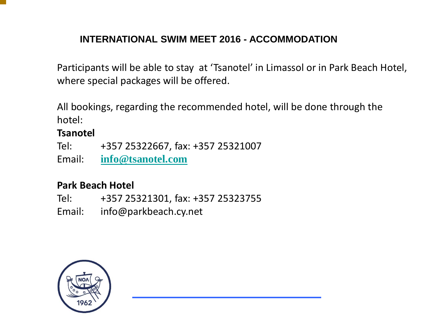# **INTERNATIONAL SWIM MEET 2016 - ACCOMMODATION**

Participants will be able to stay at 'Tsanotel' in Limassol or in Park Beach Hotel, where special packages will be offered.

All bookings, regarding the recommended hotel, will be done through the hotel:

### **Tsanotel**

Tel: +357 25322667, fax: +357 25321007

Email: **[info@tsanotel.com](mailto:info@tsanotel.com)**

### **Park Beach Hotel**

Tel: +357 25321301, fax: +357 25323755 Email: info@parkbeach.cy.net

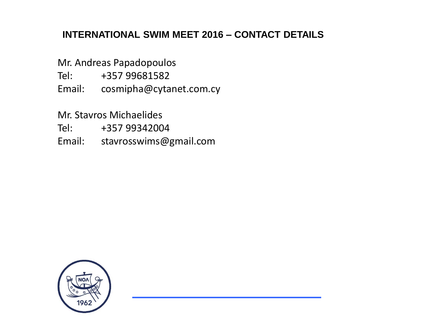# **INTERNATIONAL SWIM MEET 2016 – CONTACT DETAILS**

Mr. Andreas Papadopoulos

Tel: +357 99681582

Email: cosmipha@cytanet.com.cy

Mr. Stavros Michaelides

Tel: +357 99342004

Email: stavrosswims@gmail.com